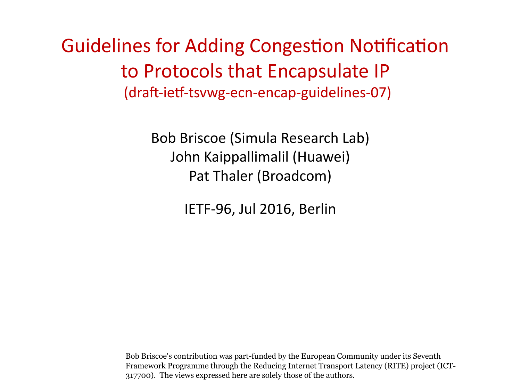Guidelines for Adding Congestion Notification to Protocols that Encapsulate IP (draft-ietf-tsvwg-ecn-encap-guidelines-07)

> Bob Briscoe (Simula Research Lab) John Kaippallimalil (Huawei) Pat Thaler (Broadcom)

> > IETF-96, Jul 2016, Berlin

Bob Briscoe's contribution was part-funded by the European Community under its Seventh Framework Programme through the Reducing Internet Transport Latency (RITE) project (ICT-317700). The views expressed here are solely those of the authors.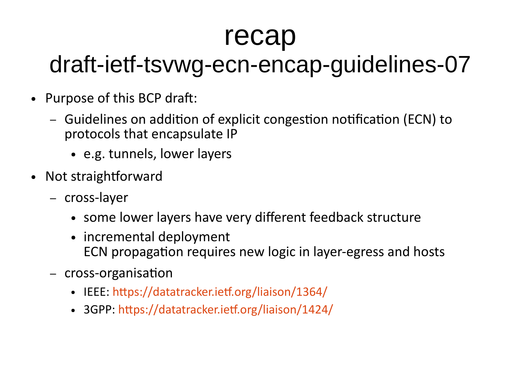### recap

#### draft-ietf-tsvwg-ecn-encap-guidelines-07

- Purpose of this BCP draft:
	- Guidelines on addition of explicit congestion notification (ECN) to protocols that encapsulate IP
		- e.g. tunnels, lower layers
- Not straightforward
	- cross-layer
		- some lower layers have very different feedback structure
		- incremental deployment ECN propagation requires new logic in layer-egress and hosts
	- cross-organisation
		- IEEE: <https://datatracker.ietf.org/liaison/1364/>
		- 3GPP: <https://datatracker.ietf.org/liaison/1424/>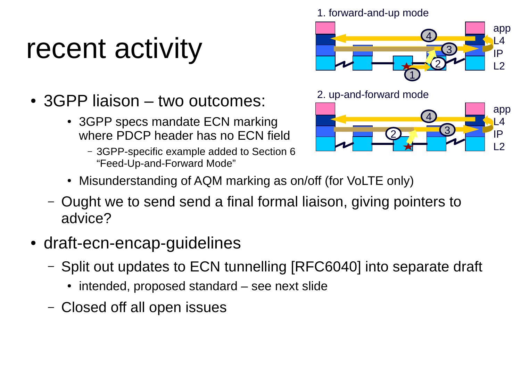# recent activity

- 3GPP liaison two outcomes:
	- 3GPP specs mandate ECN marking where PDCP header has no ECN field
		- 3GPP-specific example added to Section 6 "Feed-Up-and-Forward Mode"

1. forward-and-up mode





- Misunderstanding of AQM marking as on/off (for VoLTE only)
- Ought we to send send a final formal liaison, giving pointers to advice?
- draft-ecn-encap-guidelines
	- Split out updates to ECN tunnelling [RFC6040] into separate draft
		- intended, proposed standard see next slide
	- Closed off all open issues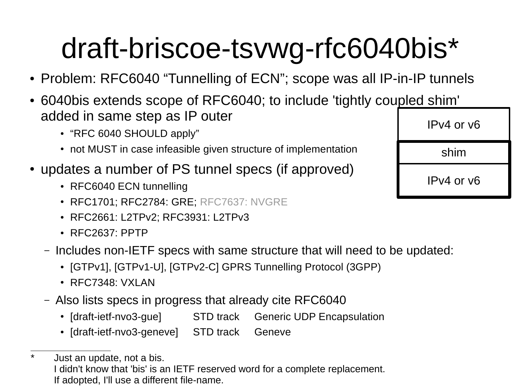# draft-briscoe-tsvwg-rfc6040bis\*

- Problem: RFC6040 "Tunnelling of ECN"; scope was all IP-in-IP tunnels
- 6040bis extends scope of RFC6040; to include 'tightly coupled shim' added in same step as IP outer
	- "RFC 6040 SHOULD apply"
	- not MUST in case infeasible given structure of implementation
- updates a number of PS tunnel specs (if approved)
	- RFC6040 ECN tunnelling
	- RFC1701; RFC2784: GRE; RFC7637: NVGRE
	- RFC2661: L2TPv2; RFC3931: L2TPv3
	- RFC2637: PPTP
	- Includes non-IETF specs with same structure that will need to be updated:
		- [GTPv1], [GTPv1-U], [GTPv2-C] GPRS Tunnelling Protocol (3GPP)
		- $\cdot$  RFC7348; VXLAN

 $\overline{a}$ 

- Also lists specs in progress that already cite RFC6040
	- [draft-ietf-nvo3-gue] STD track Generic UDP Encapsulation
	- [draft-ietf-nvo3-geneve] STD track Geneve

| וווווכ שסוטו |  |
|--------------|--|
| IPv4 or v6   |  |
| shim         |  |
| IPv4 or v6   |  |

<sup>\*</sup> Just an update, not a bis. I didn't know that 'bis' is an IETF reserved word for a complete replacement. If adopted, I'll use a different file-name.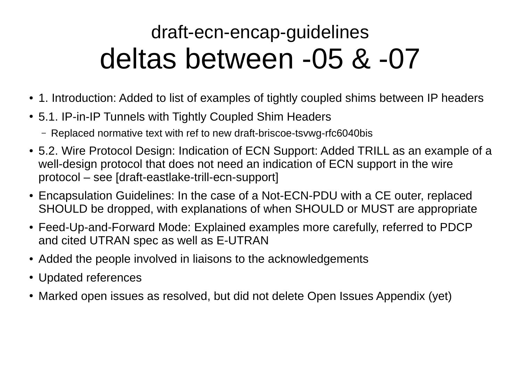#### draft-ecn-encap-guidelines deltas between -05 & -07

- 1. Introduction: Added to list of examples of tightly coupled shims between IP headers
- 5.1. IP-in-IP Tunnels with Tightly Coupled Shim Headers
	- Replaced normative text with ref to new draft-briscoe-tsvwg-rfc6040bis
- 5.2. Wire Protocol Design: Indication of ECN Support: Added TRILL as an example of a well-design protocol that does not need an indication of ECN support in the wire protocol – see [draft-eastlake-trill-ecn-support]
- Encapsulation Guidelines: In the case of a Not-ECN-PDU with a CE outer, replaced SHOULD be dropped, with explanations of when SHOULD or MUST are appropriate
- Feed-Up-and-Forward Mode: Explained examples more carefully, referred to PDCP and cited UTRAN spec as well as E-UTRAN
- Added the people involved in liaisons to the acknowledgements
- Updated references
- Marked open issues as resolved, but did not delete Open Issues Appendix (yet)